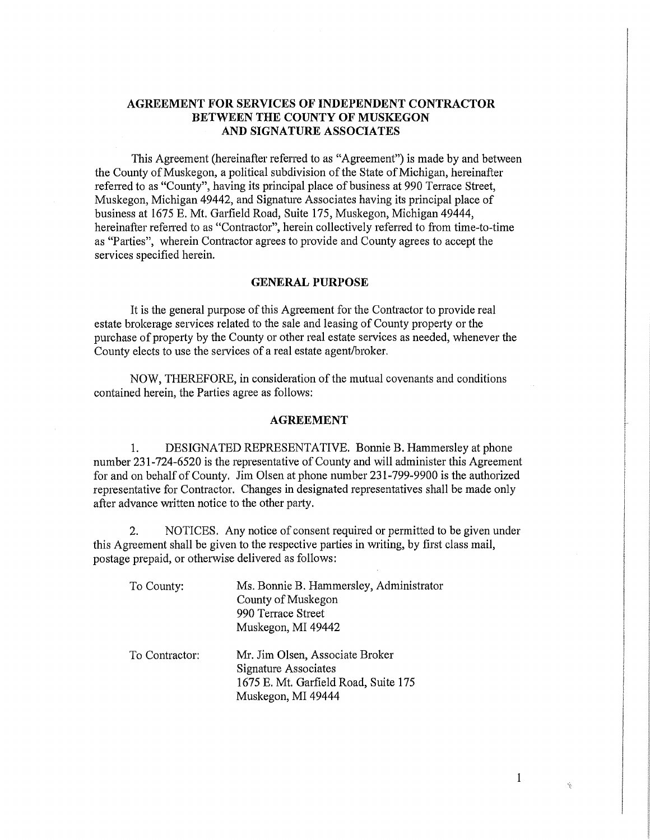## **AGREEMENT FOR SERVICES OF INDEPENDENT CONTRACTOR BETWEEN THE COUNTY OF MUSKEGON AND SIGNATURE ASSOCIATES**

This Agreement (hereinafter referred to as "Agreement") is made by and between the County of Muskegon, a political subdivision of the State of Michigan, hereinafter referred to as "County", having its principal place of business at 990 Terrace Street, Muskegon, Michigan 49442, and Signature Associates having its principal place of business at 1675 E. Mt. Garfield Road, Suite 175, Muskegon, Michigan 49444, hereinafter referred to as "Contractor", herein collectively referred to from time-to-time as "Parties", wherein Contractor agrees to provide and County agrees to accept the services specified herein.

### **GENERAL PURPOSE**

It is the general purpose of this Agreement for the Contractor to provide real estate brokerage services related to the sale and leasing of County property or the purchase of property by the County or other real estate services as needed, whenever the County elects to use the services of a real estate agent/broker.

NOW, THEREFORE, in consideration of the mutual covenants and conditions contained herein, the Parties agree as follows:

#### **AGREEMENT**

1. DESIGNATED REPRESENTATIVE. Bonnie B. Hammersley at phone number 231-724-6520 is the representative of County and will administer this Agreement for and on behalf of County. Jim Olsen at phone number 231-799-9900 is the authorized representative for Contractor. Changes in designated representatives shall be made only after advance written notice to the other party.

2. NOTICES. Any notice of consent required or permitted to be given under this Agreement shall be given to the respective parties in writing, by first class mail, postage prepaid, or otherwise delivered as follows:

| To County:     | Ms. Bonnie B. Hammersley, Administrator<br>County of Muskegon<br>990 Terrace Street<br>Muskegon, MI 49442             |
|----------------|-----------------------------------------------------------------------------------------------------------------------|
| To Contractor: | Mr. Jim Olsen, Associate Broker<br>Signature Associates<br>1675 E. Mt. Garfield Road, Suite 175<br>Muskegon, MI 49444 |

 $\mathbf{1}$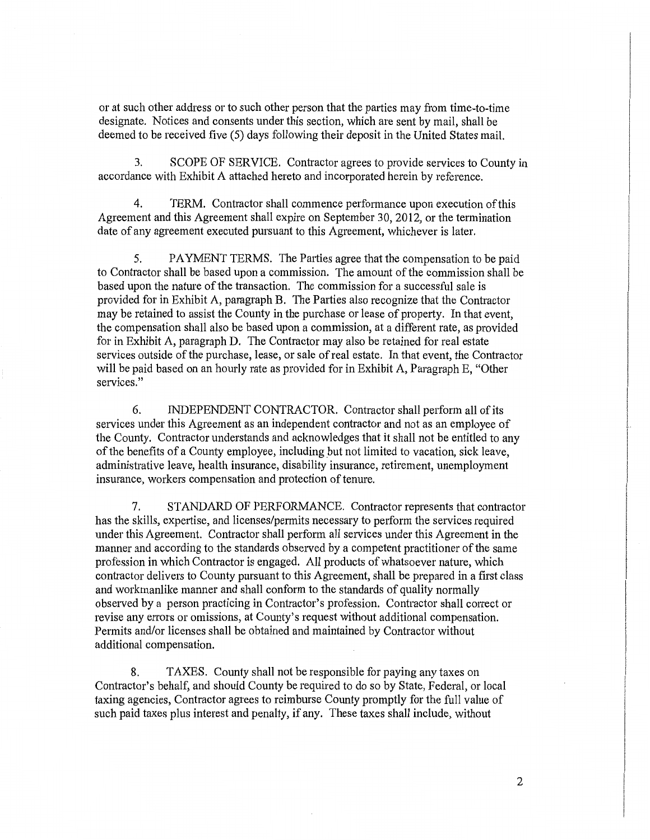or at such other address or to such other person that the parties may from time-to-time designate. Notices and consents under this section, which are sent by mail, shall be deemed to be received five (5) days following their deposit in the United States mail.

3. SCOPE OF SERVICE. Contractor agrees to provide services to County in accordance with Exhibit A attached hereto and incorporated herein by reference.

4. TERM. Contractor shall commence performance upon execution of this Agreement and this Agreement shall expire on September 30, 2012, or the termination date of any agreement executed pursuant to this Agreement, whichever is later.

5. PAYMENT TERMS. The Parties agree that the compensation to be paid to Contractor shall be based upon a commission. The amount of the commission shall be based upon the nature of the transaction. The commission for a successful sale is provided for in Exhibit A, paragraph B. The Parties also recognize that the Contractor may be retained to assist the County in the purchase or lease of property. In that event, the compensation shall also be based upon a commission, at a different rate, as provided for in Exhibit A, paragraph D. The Contractor may also be retained for real estate services outside of the purchase, lease, or sale of real estate. In that event, the Contractor will be paid based on an hourly rate as provided for in Exhibit A, Paragraph E, "Other services."

6. INDEPENDENT CONTRACTOR. Contractor shall perform all of its services under this Agreement as an independent contractor and not as an employee of the County. Contractor understands and acknowledges that it shall not be entitled to any of the benefits of a County employee, including but not limited to vacation, sick leave, administrative leave, health insurance, disability insurance, retirement, unemployment insurance, workers compensation and protection of tenure.

7. STANDARD OF PERFORMANCE. Contractor represents that contractor has the skills, expertise, and licenses/permits necessary to perform the services required under this Agreement. Contractor shall perform all services under this Agreement in the manner and according to the standards observed by a competent practitioner of the same profession in which Contractor is engaged. All products of whatsoever nature, which contractor delivers to County pursuant to this Agreement, shall be prepared in a first class and workmanlike manner and shall conform to the standards of quality normally observed by a person practicing in Contractor's profession. Contractor shall correct or revise any errors or omissions, at County's request without additional compensation. Permits and/or licenses shall be obtained and maintained by Contractor without additional compensation.

8. TAXES. County shall not be responsible for paying any taxes on Contractor's behalf, and should County be required to do so by State, Federal, or local taxing agencies, Contractor agrees to reimburse County promptly for the full value of such paid taxes plus interest and penalty, if any. These taxes shall include, without

2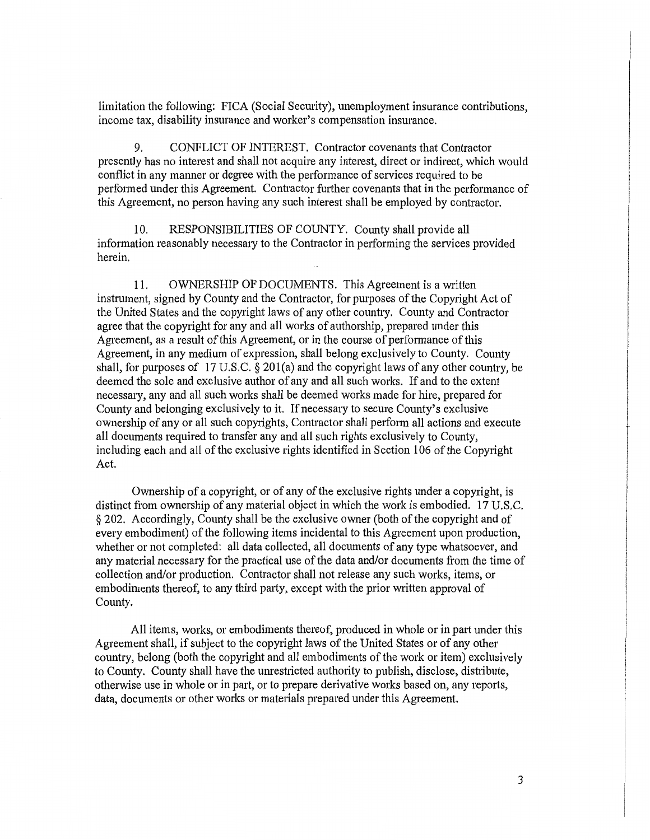limitation the following: FICA (Social Security), unemployment insurance contributions, income tax, disability insurance and worker's compensation insurance.

9. CONFLICT OF INTEREST. Contractor covenants that Contractor presently has no interest and shall not acquire any interest, direct or indirect, which would conflict in any manner or degree with the performance of services required to be performed under this Agreement. Contractor further covenants that in the performance of this Agreement, no person having any such interest shall be employed by contractor.

10. RESPONSIBILITIES OF COUNTY. County shall provide all information reasonably necessary to the Contractor in performing the services provided herein.

11. OWNERSHIP OF DOCUMENTS. This Agreement is a written instrument, signed by County and the Contractor, for purposes of the Copyright Act of the United States and the copyright laws of any other country. County and Contractor agree that the copyright for any and all works of authorship, prepared under this Agreement, as a result of this Agreement, or in the course of performance of this Agreement, in any medium of expression, shall belong exclusively to County. County shall, for purposes of 17 U.S.C. § 201(a) and the copyright laws of any other country, be deemed the sole and exclusive author of any and all such works. If and to the extent necessary, any and all such works shall be deemed works made for hire, prepared for County and belonging exclusively to it. If necessary to secure County's exclusive ownership of any or all such copyrights, Contractor shall perform all actions and execute all documents required to transfer any and all such rights exclusively to County, including each and all of the exclusive rights identified in Section 106 of the Copyright Act.

Ownership of a copyright, or of any of the exclusive rights under a copyright, is distinct from ownership of any material object in which the work is embodied. 17 U.S.C. § 202. Accordingly, County shall be the exclusive owner (both of the copyright and of every embodiment) of the following items incidental to this Agreement upon production, whether or not completed: all data collected, all documents of any type whatsoever, and any material necessary for the practical use of the data and/or documents from the time of collection and/or production. Contractor shall not release any such works, items, or embodiments thereof, to any third party, except with the prior written approval of County.

All items, works, or embodiments thereof, produced in whole or in part under this Agreement shall, if subject to the copyright laws of the United States or of any other country, belong (both the copyright and all embodiments of the work or item) exclusively to County. County shall have the unrestricted authority to publish, disclose, distribute, otherwise use in whole or in part, or to prepare derivative works based on, any reports, data, documents or other works or materials prepared under this Agreement.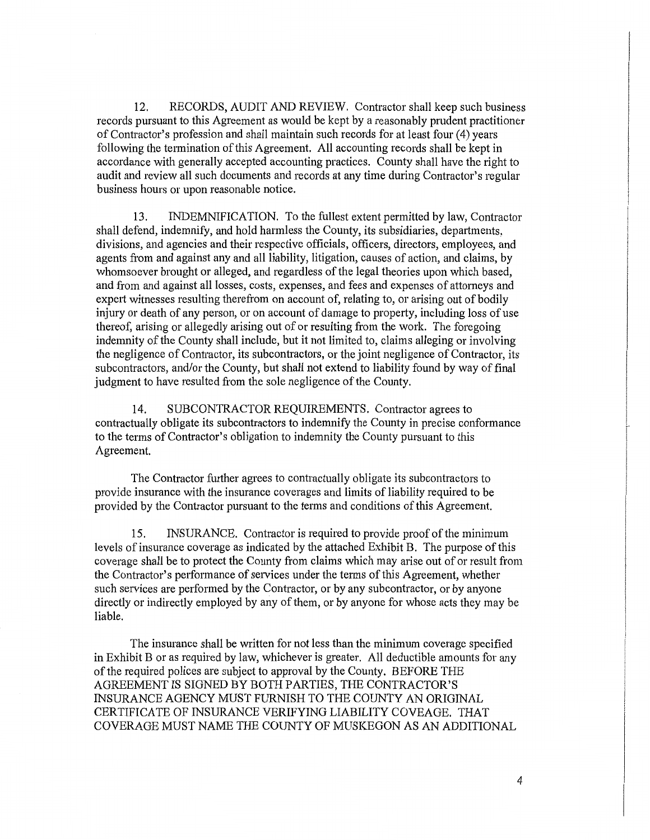12. RECORDS, AUDIT AND REVIEW. Contractor shall keep such business records pursuant to this Agreement as would be kept by a reasonably prudent practitioner of Contractor's profession and shall maintain such records for at least four (4) years following the termination of this Agreement. All accounting records shall be kept in accordance with generally accepted accounting practices. County shall have the right to audit and review all such documents and records at any time during Contractor's regular business hours or upon reasonable notice.

13. INDEMNIFICATION. To the fullest extent permitted by law, Contractor shall defend, indemnify, and hold harmless the County, its subsidiaries, departments, divisions, and agencies and their respective officials, officers, directors, employees, and agents from and against any and all liability, litigation, causes of action, and claims, by whomsoever brought or alleged, and regardless of the legal theories upon which based, and from and against all losses, costs, expenses, and fees and expenses of attorneys and expert witnesses resulting therefrom on account of, relating to, or arising out of bodily injury or death of any person, or on account of damage to property, including loss of use thereof, arising or allegedly arising out of or resulting from the work. The foregoing indemnity of the County shall include, but it not limited to, claims alleging or involving the negligence of Contractor, its subcontractors, or the joint negligence of Contractor, its subcontractors, and/or the County, but shall not extend to liability found by way of final judgment to have resulted from the sole negligence of the County.

14. SUBCONTRACTOR REQUIREMENTS. Contractor agrees to contractually obligate its subcontractors to indemnify the County in precise conformance to the terms of Contractor's obligation to indemnity the County pursuant to this Agreement.

The Contractor further agrees to contractually obligate its subcontractors to provide insurance with the insurance coverages and limits of liability required to be provided by the Contractor pursuant to the terms and conditions of this Agreement.

15. INSURANCE. Contractor is required to provide proof of the minimum levels of insurance coverage as indicated by the attached Exhibit B. The purpose of this coverage shall be to protect the County from claims which may arise out of or result from the Contractor's performance of services under the terms of this Agreement, whether such services are performed by the Contractor, or by any subcontractor, or by anyone directly or indirectly employed by any of them, or by anyone for whose acts they may be liable.

The insurance shall be written for not less than the minimum coverage specified in Exhibit B or as required by law, whichever is greater. All deductible amounts for any of the required polices are subject to approval by the County. BEFORE THE AGREEMENT IS SIGNED BY BOTH PARTIES, THE CONTRACTOR'S INSURANCE AGENCY MUST FURNISH TO THE COUNTY AN ORIGINAL CERTIFICATE OF INSURANCE VERIFYING LIABILITY COVEAGE. THAT COVERAGE MUST NAME THE COUNTY OF MUSKEGON AS AN ADDITIONAL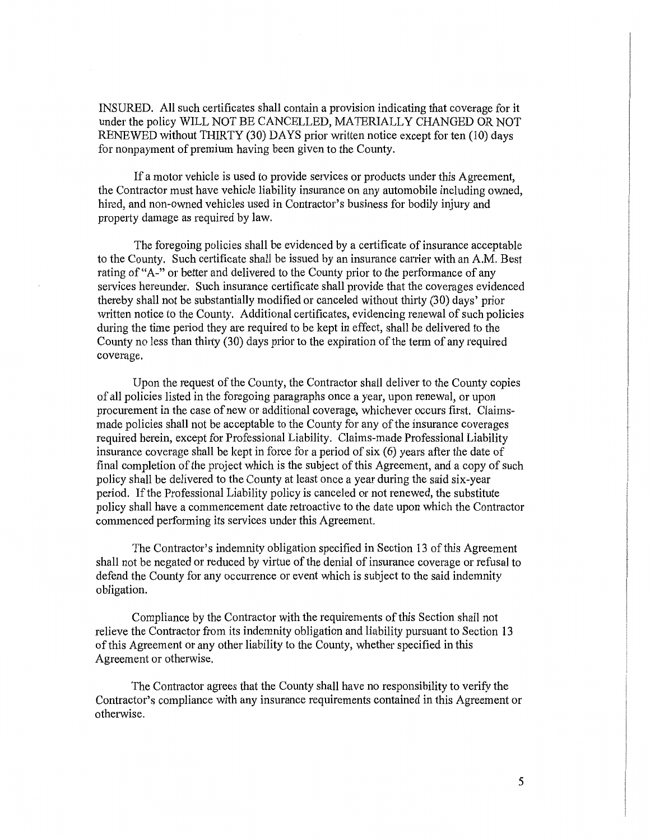INSURED. All such certificates shall contain a provision indicating that coverage for it under the policy WILL NOT BE CANCELLED, MATERIALLY CHANGED OR NOT RENEWED without THIRTY (30) DAYS prior written notice except for ten (10) days for nonpayment of premium having been given to the County.

If a motor vehicle is used to provide services or products under this Agreement, the Contractor must have vehicle liability insurance on any automobile including owned, hired, and non-owned vehicles used in Contractor's business for bodily injury and property damage as required by law.

The foregoing policies shall be evidenced by a certificate of insurance acceptable to the County. Such certificate shall be issued by an insurance carrier with an A.M. Best rating of "A-" or better and delivered to the County prior to the performance of any services hereunder. Such insurance certificate shall provide that the coverages evidenced thereby shall not be substantially modified or canceled without thirty (30) days' prior written notice to the County. Additional certificates, evidencing renewal of such policies during the time period they are required to be kept in effect, shall be delivered to the County no less than thirty (30) days prior to the expiration of the term of any required coverage.

Upon the request of the County, the Contractor shall deliver to the County copies of all policies listed in the foregoing paragraphs once a year, upon renewal, or upon procurement in the case of new or additional coverage, whichever occurs first. Claimsmade policies shall not be acceptable to the County for any of the insurance coverages required herein, except for Professional Liability. Claims-made Professional Liability insurance coverage shall be kept in force for a period of six (6) years after the date of final completion of the project which is the subject of this Agreement, and a copy of such policy shall be delivered to the County at least once a year during the said six-year period. If the Professional Liability policy is canceled or not renewed, the substitute policy shall have a commencement date retroactive to the date upon which the Contractor commenced performing its services under this Agreement.

The Contractor's indemnity obligation specified in Section 13 of this Agreement shall not be negated or reduced by virtue of the denial of insurance coverage or refusal to defend the County for any occurrence or event which is subject to the said indemnity obligation.

Compliance by the Contractor with the requirements of this Section shall not relieve the Contractor from its indemnity obligation and liability pursuant to Section 13 of this Agreement or any other liability to the County, whether specified in this Agreement or otherwise.

The Contractor agrees that the County shall have no responsibility to verify the Contractor's compliance with any insurance requirements contained in this Agreement or otherwise.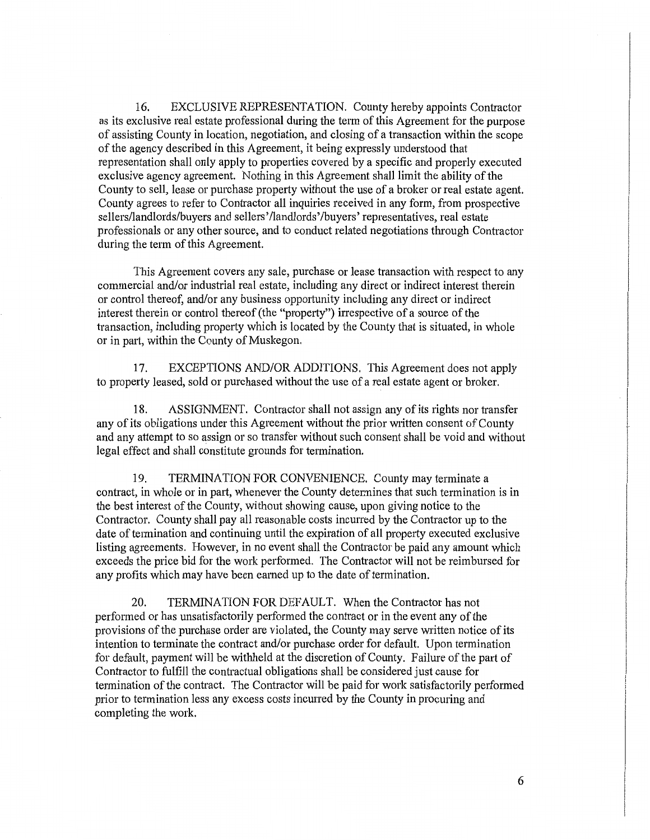16. EXCLUSIVE REPRESENTATION. County hereby appoints Contractor as its exclusive real estate professional during the term of this Agreement for the purpose of assisting County in location, negotiation, and closing of a transaction within the scope of the agency described in this Agreement, it being expressly understood that representation shall only apply to properties covered by a specific and properly executed exclusive agency agreement. Nothing in this Agreement shall limit the ability of the County to sell, lease or purchase property without the use of a broker or real estate agent. County agrees to refer to Contractor all inquiries received in any form, from prospective sellers/landlords/buyers and sellers'/landlords'/buyers' representatives, real estate professionals or any other source, and to conduct related negotiations through Contractor during the term of this Agreement.

This Agreement covers any sale, purchase or lease transaction with respect to any commercial and/or industrial real estate, including any direct or indirect interest therein or control thereof, and/or any business opportunity including any direct or indirect interest therein or control thereof (the "property") irrespective of a source of the transaction, including property which is located by the County that is situated, in whole or in part, within the County of Muskegon.

17. EXCEPTIONS AND/OR ADDITIONS. This Agreement does not apply to property leased, sold or purchased without the use of a real estate agent or broker.

18. ASSIGNMENT. Contractor shall not assign any of its rights nor transfer any of its obligations under this Agreement without the prior written consent of County and any attempt to so assign or so transfer without such consent shall be void and without legal effect and shall constitute grounds for termination.

19. TERMINATION FOR CONVENIENCE. County may terminate a contract, in whole or in part, whenever the County determines that such termination is in the best interest of the County, without showing cause, upon giving notice to the Contractor. County shall pay all reasonable costs incurred by the Contractor up to the date of termination and continuing until the expiration of all property executed exclusive listing agreements. However, in no event shall the Contractor be paid any amount which exceeds the price bid for the work performed. The Contractor will not be reimbursed for any profits which may have been earned up to the date of termination.

20. TERMINATION FOR DEFAULT. When the Contractor has not performed or has unsatisfactorily performed the contract or in the event any of the provisions of the purchase order are violated, the County may serve written notice of its intention to terminate the contract and/or purchase order for default. Upon termination for default, payment will be withheld at the discretion of County. Failure of the part of Contractor to fulfill the contractual obligations shall be considered just cause for termination of the contract. The Contractor will be paid for work satisfactorily performed prior to termination less any excess costs incurred by the County in procuring and completing the work.

6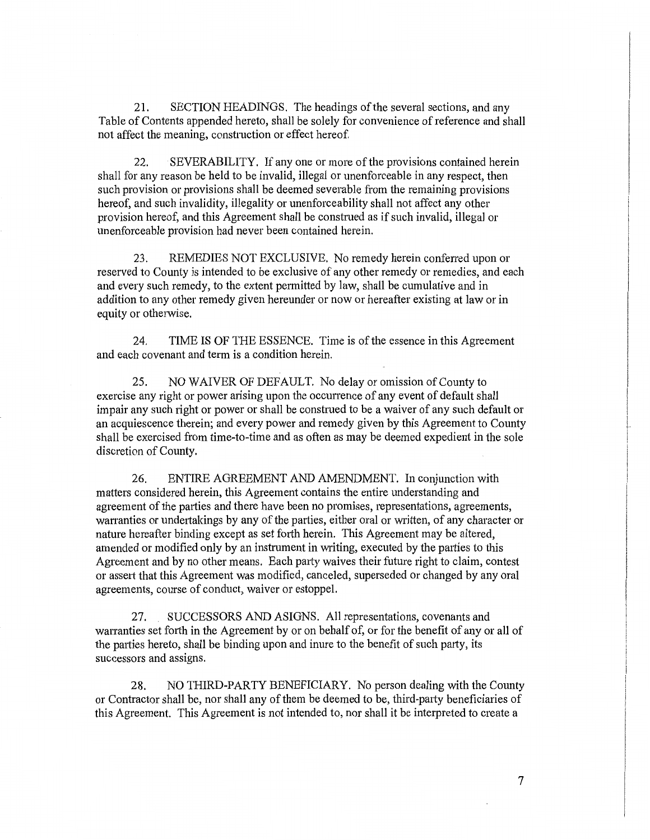21. SECTION HEADINGS. The headings of the several sections, and any Table of Contents appended hereto, shall be solely for convenience of reference and shall not affect the meaning, construction or effect hereof.

22. SEVERABILITY. If any one or more of the provisions contained herein shall for any reason be held to be invalid, illegal or unenforceable in any respect, then such provision or provisions shall be deemed severable from the remaining provisions hereof, and such invalidity, illegality or unenforceability shall not affect any other provision hereof, and this Agreement shall be construed as if such invalid, illegal or unenforceable provision had never been contained herein.

23. REMEDIES NOT EXCLUSIVE. No remedy herein confened upon or reserved to County is intended to be exclusive of any other remedy or remedies, and each and every such remedy, to the extent permitted by law, shall be cumulative and in addition to any other remedy given hereunder or now or hereafter existing at law or in equity or otherwise.

24. TIME IS OF THE ESSENCE. Time is of the essence in this Agreement and each covenant and term is a condition herein.

25. NO WAIVER OF DEFAULT. No delay or omission of County to exercise any right or power arising upon the occurrence of any event of default shall impair any such right or power or shall be construed to be a waiver of any such default or an acquiescence therein; and every power and remedy given by this Agreement to County shall be exercised from time-to-time and as often as may be deemed expedient in the sole discretion of County.

26. ENTIRE AGREEMENT AND AMENDMENT. In conjunction with matters considered herein, this Agreement contains the entire understanding and agreement of the parties and there have been no promises, representations, agreements, warranties or undertakings by any of the parties, either oral or written, of any character or nature hereafter binding except as set forth herein. This Agreement may be altered, amended or modified only by an instrument in writing, executed by the patties to this Agreement and by no other means. Each party waives their future right to claim, contest or assert that this Agreement was modified, canceled, superseded or changed by any oral agreements, course of conduct, waiver or estoppel.

27. SUCCESSORS AND ASIGNS. All representations, covenants and warranties set forth in the Agreement by or on behalf of, or for the benefit of any or all of the patties hereto, shall be binding upon and inure to the benefit of such party, its successors and assigns.

28. NO THIRD-PARTY BENEFICIARY. No person dealing with the County or Contractor shall be, nor shall any of them be deemed to be, third-party beneficiaries of this Agreement. This Agreement is not intended to, nor shall it be interpreted to create a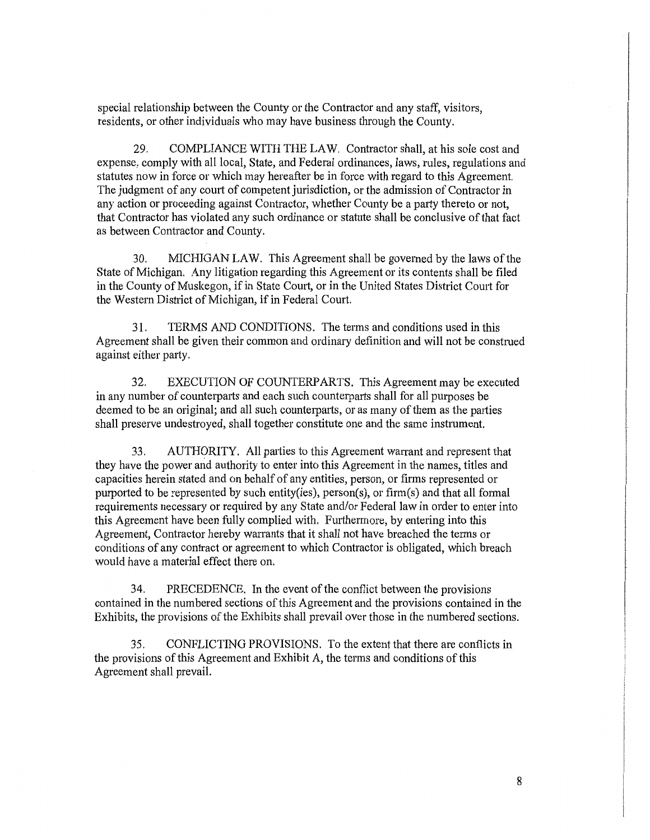special relationship between the County or the Contractor and any staff, visitors, residents, or other individuals who may have business through the County.

29. COMPLIANCE WITH THE LAW. Contractor shall, at his sole cost and expense, comply with all local, State, and Federal ordinances, laws, rules, regulations and statutes now in force or which may hereafter be in force with regard to this Agreement. The judgment of any court of competent jurisdiction, or the admission of Contractor in any action or proceeding against Contractor, whether County be a party thereto or not, that Contractor has violated any such ordinance or statute shall be conclusive of that fact as between Contractor and County.

30. MICHIGAN LAW. This Agreement shall be governed by the laws of the State of Michigan. Any litigation regarding this Agreement or its contents shall be filed in the County of Muskegon, if in State Court, or in the United States District Court for the Western District of Michigan, if in Federal Court.

31. TERMS AND CONDITIONS. The terms and conditions used in this Agreement shall be given their common and ordinary definition and will not be construed against either party.

32. EXECUTION OF COUNTERPARTS. This Agreement may be executed in any number of counterparts and each such counterparts shall for all purposes be deemed to be an original; and all such counterparts, or as many of them as the patties shall preserve undestroyed, shall together constitute one and the same instrument.

33. AUTHORITY. All parties to this Agreement warrant and represent that they have the power and authority to enter into this Agreement in the names, titles and capacities herein stated and on behalf of any entities, person, or firms represented or purported to be represented by such entity(ies), person(s), or firm(s) and that all formal requirements necessary or required by any State and/or Federal law in order to enter into this Agreement have been fully complied with. Furthermore, by entering into this Agreement, Contractor hereby warrants that it shall not have breached the terms or conditions of any contract or agreement to which Contractor is obligated, which breach would have a material effect there on.

34. PRECEDENCE. In the event of the conflict between the provisions contained in the numbered sections of this Agreement and the provisions contained in the Exhibits, the provisions of the Exhibits shall prevail over those in the numbered sections.

35. CONFLICTING PROVISIONS. To the extent that there are conflicts in the provisions of this Agreement and Exhibit A, the terms and conditions of this Agreement shall prevail.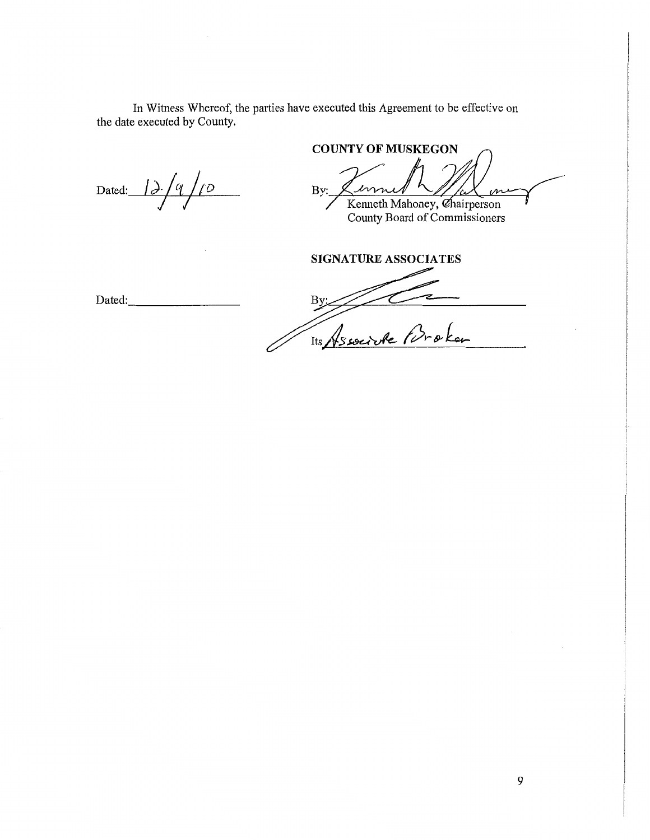In Witness Whereof, the parties have executed this Agreement to be effective on the date executed by County.

Dated:  $12/9/10$ 

**COUNTY OF MUSKEGON** By: Kenneth Mahoney, Chairperson

County Board of Commissioners

**SIGNATURE ASSOCIATES** 

Dated: --------

 $\frac{By}{\sqrt{2}}$ Tis Associate Proken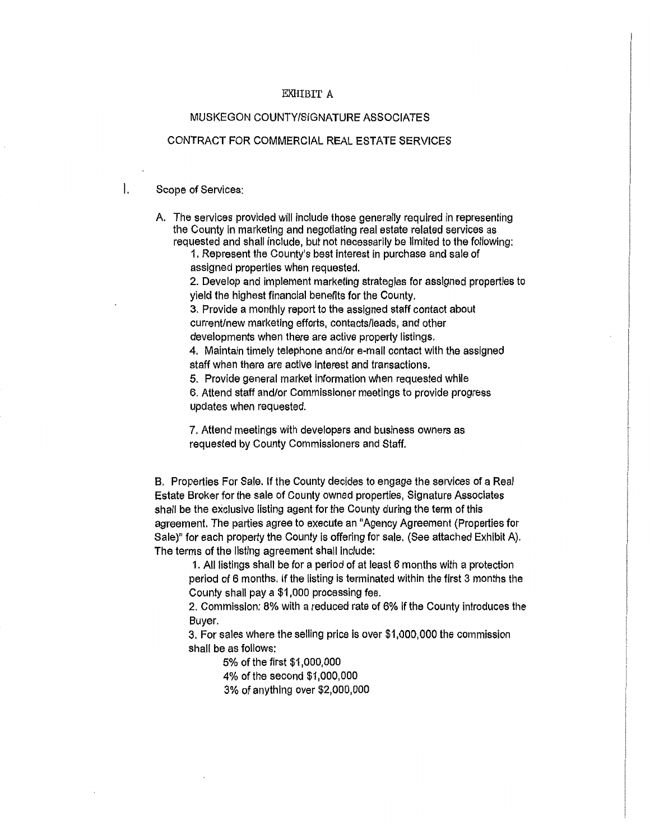### EXHIBIT A

# MUSKEGON COUNTY/SIGNATURE ASSOCIATES

## CONTRACT FOR COMMERCIAL REAL ESTATE SERVICES

I. Scope of Services:

A. The services provided will include those generally required in representing the County In marketing and negotiating real estate related services as requested and shall include, but not necessarily be limited to the following:

1. Represent the County's best interest in purchase and sale of assigned properties when requested.

2. Develop and implement marketing strategies for assigned properties to yield the highest financial benefits for the County.

3. Provide a monthly report to the assigned staff contact about current/new marketing efforts, contacts/leads, and other developments when there are active property listings.

4. Maintain timely telephone and/or e-mail contact with the assigned staff when there are active Interest and transactions.

5. Provide general market information when requested while 6. Attend staff and/or Commissioner meetings to provide progress updates when requested.

7. Attend meetings with developers and business owners as requested by County Commissioners and Staff.

B. Properties For Sale. If the County decides to engage the services of a Real Estate Broker for the sale of County owned properties, Signature Associates shall be the exclusive listing agent for the County during the term of this agreement. The parties agree to execute an "Agency Agreement (Properties for Sale)" for each property the County is offering for sale. (See attached Exhibit A). The terms of the listing agreement shall include:

1. All listlngs shall be for a period of at least 6 months with a protection period of 6 months. If the listing is terminated within the first 3 months the County shall pay a \$1,000 processing fee.

2. Commission: 8% with a reduced rate of 6% if the County introduces the Buyer.

3. For sales where the selling price is over \$1,000,000 the commission shall be as follows:

5% of the first \$1,000,000

4% of the second \$1,000,000

3% of anything over \$2,000,000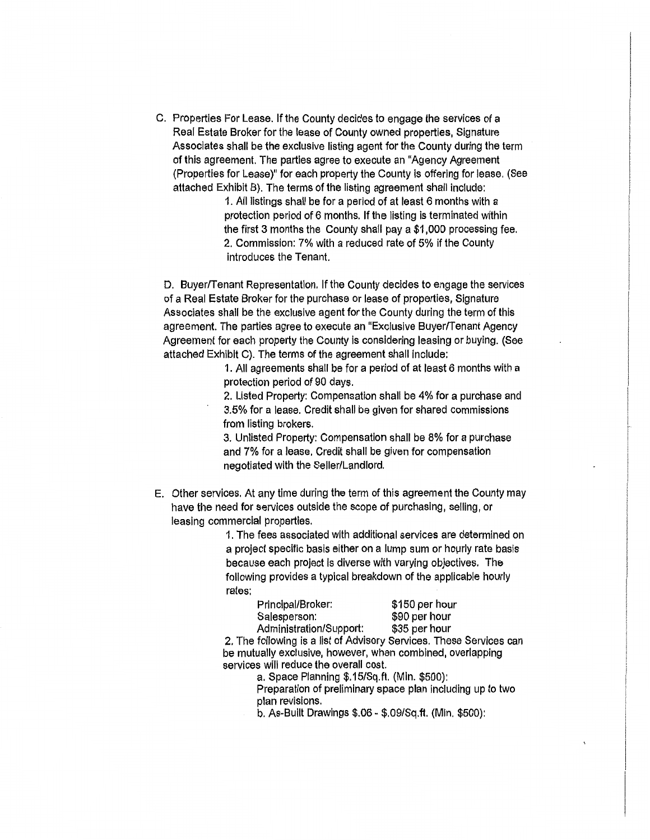C. Properties For Lease. If the County decides to engage the services of a Real Estate Broker for the lease of County owned properties, Signature Associates shall be the exclusive listing agent for the County during the term of this agreement. The parties agree to execute an "Agency Agreement (Properties for Lease)" for each property the County is offering for lease. (See attached Exhibit B). The terms of the listing agreement shall include:

> 1. All listings shall be for a period of at least 6 months with a protection period of 6 months. If the listing is terminated within the first 3 months the County shall pay a \$1,000 processing fee. 2. Commission: 7% with a reduced rate of 5% if the County introduces the Tenant.

D. Buyer/Tenant Representation. If the County decides to engage the services of a Real Estate Broker for the purchase or lease of properties, Signature Associates shall be the exclusive agent for the County during the term of this agreement. The parties agree to execute an "Exclusive Buyer/Tenant Agency Agreement for each property the County is considering leasing or buying. (See attached Exhibit C). The terms of the agreement shall include:

> 1. All agreements shall be for a period of at least 6 months with a protection period of 90 days.

> 2. Listed Property: Compensation shall be 4% for a purchase and 3.5% for a lease. Credit shall be given for shared commissions from listing brokers.

3. Unlisted Property: Compensation shall be 8% for a purchase and 7% for a lease. Credit shall be given for compensation negotiated with the Seller/Landlord.

E. Other services. At any time during the term of this agreement the County may have the need for services outside the scope of purchasing, selling, or leasing commercial properties.

> 1. The fees associated with additional services are determined on a project specific basis either on a lump sum or hourly rate basis because each project is diverse with varying objectives. The following provides a typical breakdown of the applicable hourly rates:

| Principal/Broker:       | \$150 per hour |
|-------------------------|----------------|
| Salesperson:            | \$90 per hour  |
| Administration/Support: | \$35 per hour  |

2. The following is a list of Advisory Services. These Services can be mutually exclusive, however, when combined, overlapping services will reduce the overall cost.

a. Space Planning \$.15/Sq.ft. (Min. \$500):

Preparation of preliminary space plan including up to two plan revisions.

b. As-Built Drawings \$.06- \$.09/Sq.ft. (Min. \$500):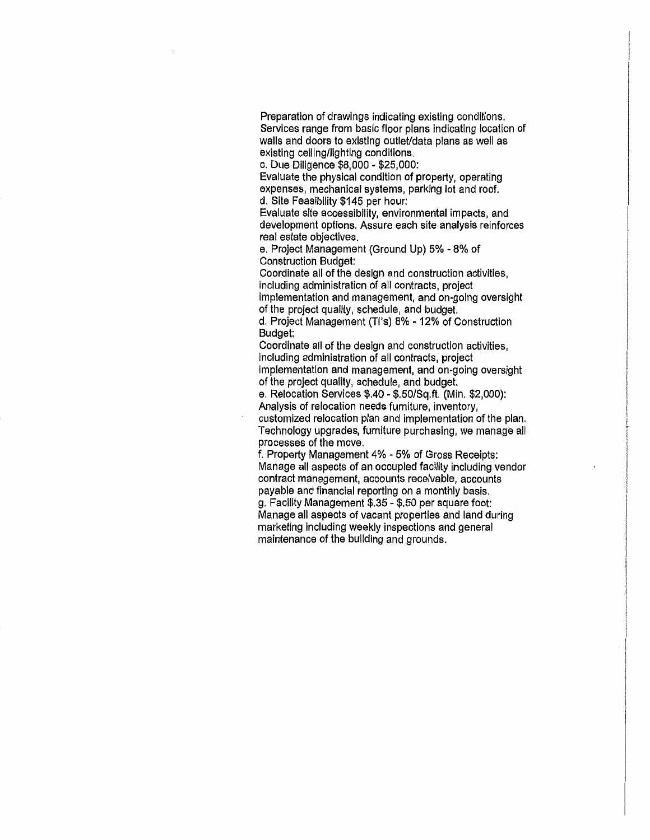Preparation of drawings indicating existing conditions. Services range from basic floor plans indicating location of walls and doors to existing outlet/data plans as well as existing ceiling/lighting conditions.

c. Due Diligence \$8,000 - \$25,000:

Evaluate the physical condition of property, operating expenses, mechanical systems, parking lot and roof. d. Site Feasibility \$145 per hour:

Evaluate site accessibility, environmental impacts, and development options. Assure each site analysis reinforces real estate objectives.

e. Project Management (Ground Up) 5% - 8% of Construction Budget:

Coordinate all of the design and construction activities, including administration of all contracts, project Implementation and management, and on-going oversight of the project quality, schedule, and budget.

d. Project Management {Tl's) 8% - 12% of Construction Budget:

Coordinate all of the design and construction activities, including administration of all contracts, project implementation and management, and on-going oversight of the project quality, schedule, and budget.

e. Relocation Services \$.40 - \$.50/Sq.ft. (Min. \$2,000): Analysis of relocation needs furniture, inventory,

customized relocation plan and implementation of the plan. Technology upgrades, furniture purchasing, we manage all processes of the move.

f. Property Management 4% - 5% of Gross Receipts: Manage all aspects of an occupied facility including vendor contract management, accounts receivable, accounts payable and financial reporting on a monthly basis. g. Facility Management \$.35 - \$.50 per square foot: Manage all aspects of vacant properties and land during marketing including weekly inspections and general maintenance of the building and grounds.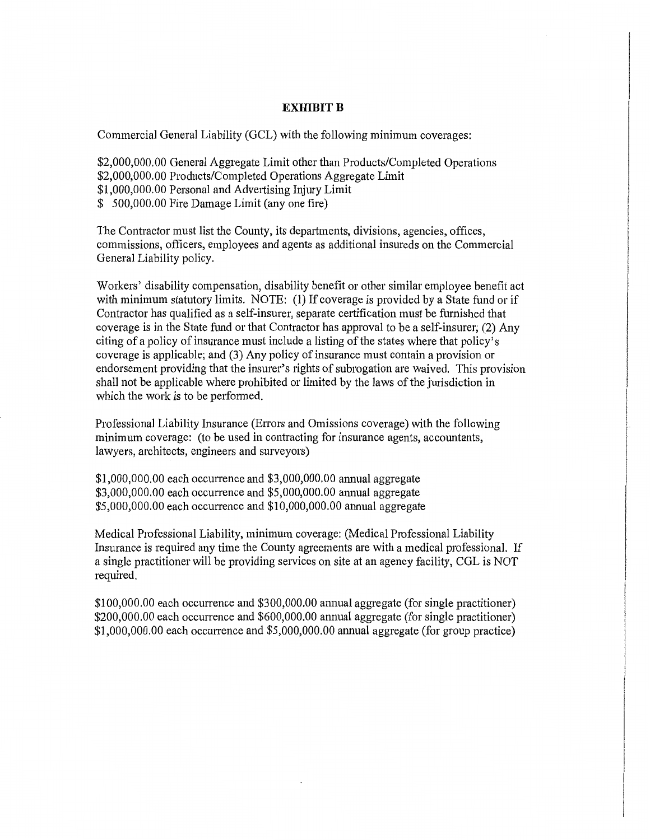### **EXHIBIT B**

Commercial General Liability (GCL) with the following minimum coverages:

\$2,000,000.00 General Aggregate Limit other than Products/Completed Operations \$2,000,000.00 Products/Completed Operations Aggregate Limit \$1,000,000.00 Personal and Advertising Injury Limit \$ 500,000.00 Fire Damage Limit (any one fire)

The Contractor must list the County, its departments, divisions, agencies, offices, commissions, officers, employees and agents as additional insureds on the Commercial General Liability policy.

Workers' disability compensation, disability benefit or other similar employee benefit act with minimum statutory limits. NOTE: (1) If coverage is provided by a State fund or if Contractor has qualified as a self-insurer, separate certification must be furnished that coverage is in the State fund or that Contractor has approval to be a self-insurer; (2) Any citing of a policy of insurance must include a listing of the states where that policy's coverage is applicable; and (3) Any policy of insurance must contain a provision or endorsement providing that the insurer's rights of subrogation are waived. This provision shall not be applicable where prohibited or limited by the laws of the jurisdiction in which the work is to be performed.

Professional Liability Insurance (Errors and Omissions coverage) with the following minimum coverage: (to be used in contracting for insurance agents, accountants, lawyers, architects, engineers and surveyors)

\$1,000,000.00 each occurrence and \$3,000,000.00 annual aggregate \$3,000,000.00 each occurrence and \$5,000,000.00 annual aggregate \$5,000,000.00 each occurrence and \$10,000,000.00 annual aggregate

Medical Professional Liability, minimum coverage: (Medical Professional Liability Insurance is required any time the County agreements are with a medical professional. If a single practitioner will be providing services on site at an agency facility, CGL is NOT required.

\$100,000.00 each occurrence and \$300,000.00 annual aggregate (for single practitioner) \$200,000.00 each occurrence and \$600,000.00 annual aggregate (for single practitioner) \$1,000,000.00 each occurrence and \$5,000,000.00 annual aggregate (for group practice)